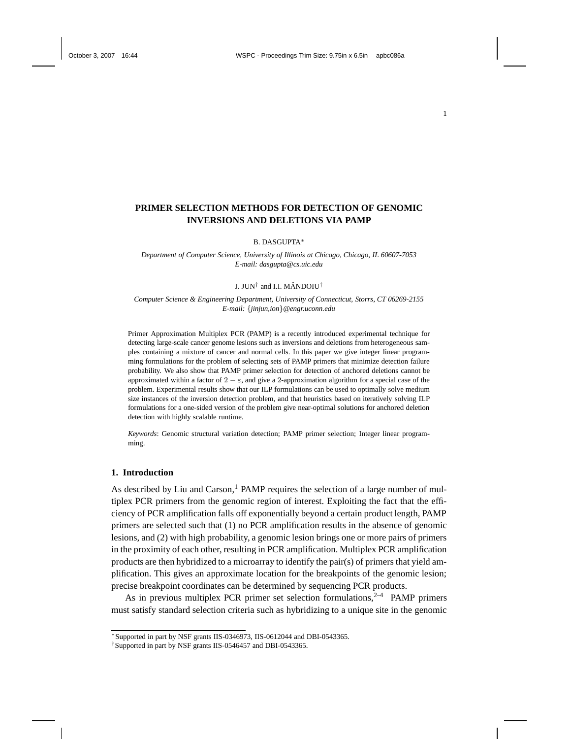# **PRIMER SELECTION METHODS FOR DETECTION OF GENOMIC INVERSIONS AND DELETIONS VIA PAMP**

B. DASGUPTA ∗

*Department of Computer Science, University of Illinois at Chicago, Chicago, IL 60607-7053 E-mail: dasgupta@cs.uic.edu*

### J. JUN $^\dagger$  and I.I. MĂNDOIU $^\dagger$

*Computer Science & Engineering Department, University of Connecticut, Storrs, CT 06269-2155 E-mail:* {*jinjun,ion*}*@engr.uconn.edu*

Primer Approximation Multiplex PCR (PAMP) is a recently introduced experimental technique for detecting large-scale cancer genome lesions such as inversions and deletions from heterogeneous samples containing a mixture of cancer and normal cells. In this paper we give integer linear programming formulations for the problem of selecting sets of PAMP primers that minimize detection failure probability. We also show that PAMP primer selection for detection of anchored deletions cannot be approximated within a factor of  $2 - \varepsilon$ , and give a 2-approximation algorithm for a special case of the problem. Experimental results show that our ILP formulations can be used to optimally solve medium size instances of the inversion detection problem, and that heuristics based on iteratively solving ILP formulations for a one-sided version of the problem give near-optimal solutions for anchored deletion detection with highly scalable runtime.

*Keywords*: Genomic structural variation detection; PAMP primer selection; Integer linear programming.

### **1. Introduction**

As described by Liu and  $Carson<sup>1</sup>$  PAMP requires the selection of a large number of multiplex PCR primers from the genomic region of interest. Exploiting the fact that the efficiency of PCR amplification falls off exponentially beyond a certain product length, PAMP primers are selected such that (1) no PCR amplification results in the absence of genomic lesions, and (2) with high probability, a genomic lesion brings one or more pairs of primers in the proximity of each other, resulting in PCR amplification. Multiplex PCR amplification products are then hybridized to a microarray to identify the pair(s) of primers that yield amplification. This gives an approximate location for the breakpoints of the genomic lesion; precise breakpoint coordinates can be determined by sequencing PCR products.

As in previous multiplex PCR primer set selection formulations,  $2-4$  PAMP primers must satisfy standard selection criteria such as hybridizing to a unique site in the genomic

<sup>∗</sup>Supported in part by NSF grants IIS-0346973, IIS-0612044 and DBI-0543365.

<sup>†</sup>Supported in part by NSF grants IIS-0546457 and DBI-0543365.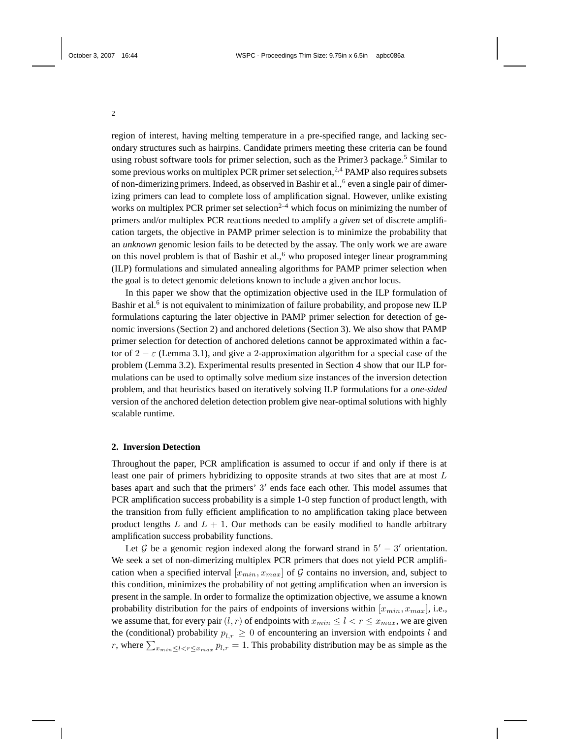region of interest, having melting temperature in a pre-specified range, and lacking secondary structures such as hairpins. Candidate primers meeting these criteria can be found using robust software tools for primer selection, such as the Primer3 package.<sup>5</sup> Similar to some previous works on multiplex PCR primer set selection,  $2,4$  PAMP also requires subsets of non-dimerizing primers. Indeed, as observed in Bashir et al., <sup>6</sup> even a single pair of dimerizing primers can lead to complete loss of amplification signal. However, unlike existing works on multiplex PCR primer set selection<sup>2-4</sup> which focus on minimizing the number of primers and/or multiplex PCR reactions needed to amplify a *given* set of discrete amplification targets, the objective in PAMP primer selection is to minimize the probability that an *unknown* genomic lesion fails to be detected by the assay. The only work we are aware on this novel problem is that of Bashir et al.,<sup>6</sup> who proposed integer linear programming (ILP) formulations and simulated annealing algorithms for PAMP primer selection when the goal is to detect genomic deletions known to include a given anchor locus.

In this paper we show that the optimization objective used in the ILP formulation of Bashir et al.<sup>6</sup> is not equivalent to minimization of failure probability, and propose new ILP formulations capturing the later objective in PAMP primer selection for detection of genomic inversions (Section 2) and anchored deletions (Section 3). We also show that PAMP primer selection for detection of anchored deletions cannot be approximated within a factor of  $2 - \varepsilon$  (Lemma 3.1), and give a 2-approximation algorithm for a special case of the problem (Lemma 3.2). Experimental results presented in Section 4 show that our ILP formulations can be used to optimally solve medium size instances of the inversion detection problem, and that heuristics based on iteratively solving ILP formulations for a *one-sided* version of the anchored deletion detection problem give near-optimal solutions with highly scalable runtime.

# **2. Inversion Detection**

Throughout the paper, PCR amplification is assumed to occur if and only if there is at least one pair of primers hybridizing to opposite strands at two sites that are at most L bases apart and such that the primers'  $3'$  ends face each other. This model assumes that PCR amplification success probability is a simple 1-0 step function of product length, with the transition from fully efficient amplification to no amplification taking place between product lengths  $L$  and  $L + 1$ . Our methods can be easily modified to handle arbitrary amplification success probability functions.

Let  $\mathcal G$  be a genomic region indexed along the forward strand in  $5' - 3'$  orientation. We seek a set of non-dimerizing multiplex PCR primers that does not yield PCR amplification when a specified interval  $[x_{min}, x_{max}]$  of G contains no inversion, and, subject to this condition, minimizes the probability of not getting amplification when an inversion is present in the sample. In order to formalize the optimization objective, we assume a known probability distribution for the pairs of endpoints of inversions within  $[x_{min}, x_{max}]$ , i.e., we assume that, for every pair  $(l, r)$  of endpoints with  $x_{min} \le l < r \le x_{max}$ , we are given the (conditional) probability  $p_{l,r} \geq 0$  of encountering an inversion with endpoints l and r, where  $\sum_{x_{min} \leq l < r \leq x_{max}} p_{l,r} = 1$ . This probability distribution may be as simple as the

2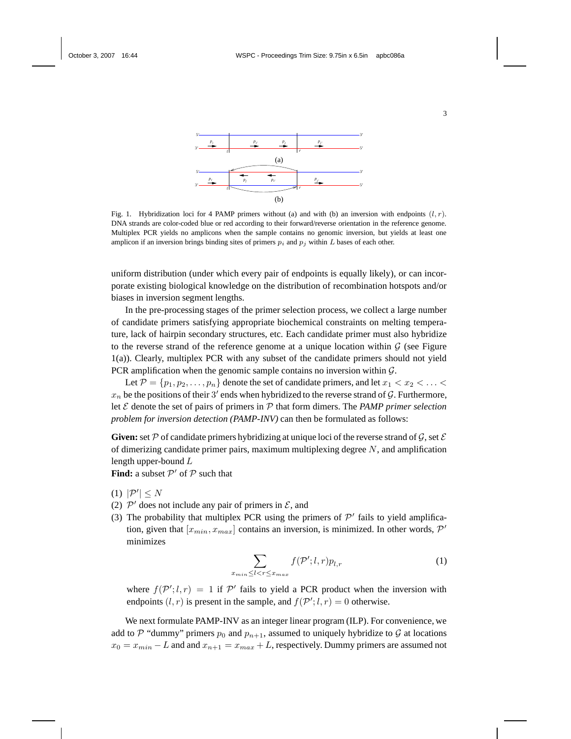

Fig. 1. Hybridization loci for 4 PAMP primers without (a) and with (b) an inversion with endpoints  $(l, r)$ . DNA strands are color-coded blue or red according to their forward/reverse orientation in the reference genome. Multiplex PCR yields no amplicons when the sample contains no genomic inversion, but yields at least one amplicon if an inversion brings binding sites of primers  $p_i$  and  $p_j$  within L bases of each other.

uniform distribution (under which every pair of endpoints is equally likely), or can incorporate existing biological knowledge on the distribution of recombination hotspots and/or biases in inversion segment lengths.

In the pre-processing stages of the primer selection process, we collect a large number of candidate primers satisfying appropriate biochemical constraints on melting temperature, lack of hairpin secondary structures, etc. Each candidate primer must also hybridize to the reverse strand of the reference genome at a unique location within  $\mathcal G$  (see Figure 1(a)). Clearly, multiplex PCR with any subset of the candidate primers should not yield PCR amplification when the genomic sample contains no inversion within  $\mathcal{G}$ .

Let  $\mathcal{P} = \{p_1, p_2, \ldots, p_n\}$  denote the set of candidate primers, and let  $x_1 < x_2 < \ldots <$  $x_n$  be the positions of their 3' ends when hybridized to the reverse strand of G. Furthermore, let E denote the set of pairs of primers in P that form dimers. The *PAMP primer selection problem for inversion detection (PAMP-INV)* can then be formulated as follows:

**Given:** set P of candidate primers hybridizing at unique loci of the reverse strand of G, set  $\mathcal E$ of dimerizing candidate primer pairs, maximum multiplexing degree  $N$ , and amplification length upper-bound L

**Find:** a subset  $\mathcal{P}'$  of  $\mathcal{P}$  such that

- (1)  $|\mathcal{P}'| \leq N$
- (2)  $\mathcal{P}'$  does not include any pair of primers in  $\mathcal{E}$ , and
- (3) The probability that multiplex PCR using the primers of  $\mathcal{P}'$  fails to yield amplification, given that  $[x_{min}, x_{max}]$  contains an inversion, is minimized. In other words,  $\mathcal{P}'$ minimizes

$$
\sum_{x_{min} \le l < r \le x_{max}} f(\mathcal{P}'; l, r) p_{l, r} \tag{1}
$$

where  $f(P'; l, r) = 1$  if P' fails to yield a PCR product when the inversion with endpoints  $(l, r)$  is present in the sample, and  $f(\mathcal{P}'; l, r) = 0$  otherwise.

We next formulate PAMP-INV as an integer linear program (ILP). For convenience, we add to P "dummy" primers  $p_0$  and  $p_{n+1}$ , assumed to uniquely hybridize to G at locations  $x_0 = x_{min} - L$  and and  $x_{n+1} = x_{max} + L$ , respectively. Dummy primers are assumed not

3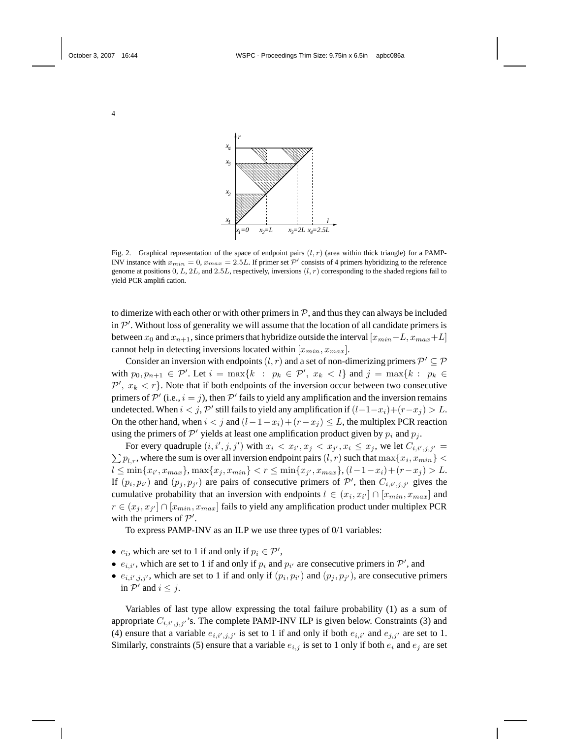

Fig. 2. Graphical representation of the space of endpoint pairs  $(l, r)$  (area within thick triangle) for a PAMP-INV instance with  $x_{min} = 0$ ,  $x_{max} = 2.5L$ . If primer set  $P'$  consists of 4 primers hybridizing to the reference genome at positions  $0, L, 2L$ , and  $2.5L$ , respectively, inversions  $(l, r)$  corresponding to the shaded regions fail to yield PCR amplification.

to dimerize with each other or with other primers in  $P$ , and thus they can always be included in  $\mathcal{P}'$ . Without loss of generality we will assume that the location of all candidate primers is between  $x_0$  and  $x_{n+1}$ , since primers that hybridize outside the interval  $[x_{min}-L, x_{max}+L]$ cannot help in detecting inversions located within  $[x_{min}, x_{max}]$ .

Consider an inversion with endpoints  $(l, r)$  and a set of non-dimerizing primers  $\mathcal{P}' \subseteq \mathcal{P}$ with  $p_0, p_{n+1} \in \mathcal{P}'$ . Let  $i = \max\{k : p_k \in \mathcal{P}', x_k < l\}$  and  $j = \max\{k : p_k \in \mathcal{P}'\}$  $\mathcal{P}', x_k < r$ . Note that if both endpoints of the inversion occur between two consecutive primers of  $\mathcal{P}'$  (i.e.,  $i = j$ ), then  $\mathcal{P}'$  fails to yield any amplification and the inversion remains undetected. When  $i < j$ ,  $\mathcal{P}'$  still fails to yield any amplification if  $(l-1-x_i)+(r-x_j) > L$ . On the other hand, when  $i < j$  and  $(l-1-x_i)+(r-x_j) \leq L$ , the multiplex PCR reaction using the primers of  $\mathcal{P}'$  yields at least one amplification product given by  $p_i$  and  $p_j$ .

For every quadruple  $(i, i', j, j')$  with  $x_i < x_{i'}, x_j < x_{j'}, x_i \leq x_j$ , we let  $C_{i, i', j, j'} =$  $\sum p_{l,r}$ , where the sum is over all inversion endpoint pairs  $(l,r)$  such that  $\max\{x_i,x_{min}\} <$  $l \leq \min\{x_{i'}, x_{max}\}, \max\{x_j, x_{min}\} < r \leq \min\{x_{j'}, x_{max}\}, (l-1-x_i) + (r-x_j) > L.$ If  $(p_i, p_{i'})$  and  $(p_j, p_{j'})$  are pairs of consecutive primers of  $\mathcal{P}'$ , then  $C_{i,i',j,j'}$  gives the cumulative probability that an inversion with endpoints  $l \in (x_i, x_{i'}] \cap [x_{min}, x_{max}]$  and  $r \in (x_j, x_{j'}] \cap [x_{min}, x_{max}]$  fails to yield any amplification product under multiplex PCR with the primers of  $P'$ .

To express PAMP-INV as an ILP we use three types of 0/1 variables:

- $e_i$ , which are set to 1 if and only if  $p_i \in \mathcal{P}'$ ,
- $e_{i,i'}$ , which are set to 1 if and only if  $p_i$  and  $p_{i'}$  are consecutive primers in  $\mathcal{P}'$ , and
- $e_{i,i',j,j'}$ , which are set to 1 if and only if  $(p_i, p_{i'})$  and  $(p_j, p_{j'})$ , are consecutive primers in  $\mathcal{P}'$  and  $i \leq j$ .

Variables of last type allow expressing the total failure probability (1) as a sum of appropriate  $C_{i,i',j,j'}$ 's. The complete PAMP-INV ILP is given below. Constraints (3) and (4) ensure that a variable  $e_{i,i',j,j'}$  is set to 1 if and only if both  $e_{i,i'}$  and  $e_{j,j'}$  are set to 1. Similarly, constraints (5) ensure that a variable  $e_{i,j}$  is set to 1 only if both  $e_i$  and  $e_j$  are set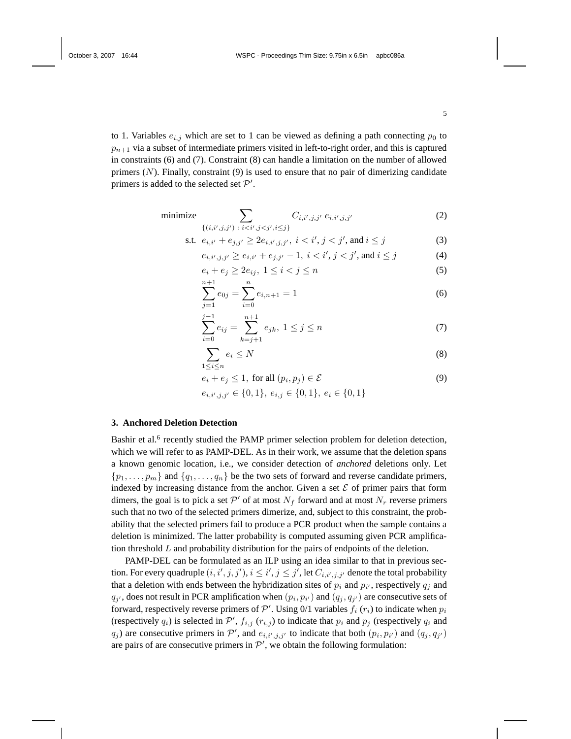to 1. Variables  $e_{i,j}$  which are set to 1 can be viewed as defining a path connecting  $p_0$  to  $p_{n+1}$  via a subset of intermediate primers visited in left-to-right order, and this is captured in constraints (6) and (7). Constraint (8) can handle a limitation on the number of allowed primers  $(N)$ . Finally, constraint  $(9)$  is used to ensure that no pair of dimerizing candidate primers is added to the selected set  $\mathcal{P}'$ .

minimize 
$$
\sum_{\{(i,i',j,j')\;:\;i (2)
$$

s.t. 
$$
e_{i,i'} + e_{j,j'} \ge 2e_{i,i',j,j'}, \ i < i', j < j', \text{ and } i \le j
$$
 (3)

$$
e_{i,i',j,j'} \ge e_{i,i'} + e_{j,j'} - 1, \ i < i', j < j', \text{ and } i \le j \tag{4}
$$

$$
e_i + e_j \ge 2e_{ij}, \ 1 \le i < j \le n \tag{5}
$$

$$
\sum_{j=1}^{n+1} e_{0j} = \sum_{i=0}^{n} e_{i,n+1} = 1
$$
 (6)

$$
\sum_{i=0}^{j-1} e_{ij} = \sum_{k=j+1}^{n+1} e_{jk}, \ 1 \le j \le n \tag{7}
$$

$$
\sum_{1 \le i \le n} e_i \le N \tag{8}
$$

$$
e_i + e_j \le 1, \text{ for all } (p_i, p_j) \in \mathcal{E}
$$
 (9)

$$
e_{i,i',j,j'} \in \{0,1\}, \, e_{i,j} \in \{0,1\}, \, e_i \in \{0,1\}
$$

#### **3. Anchored Deletion Detection**

Bashir et al.<sup>6</sup> recently studied the PAMP primer selection problem for deletion detection, which we will refer to as PAMP-DEL. As in their work, we assume that the deletion spans a known genomic location, i.e., we consider detection of *anchored* deletions only. Let  $\{p_1, \ldots, p_m\}$  and  $\{q_1, \ldots, q_n\}$  be the two sets of forward and reverse candidate primers, indexed by increasing distance from the anchor. Given a set  $\mathcal E$  of primer pairs that form dimers, the goal is to pick a set  $\mathcal{P}'$  of at most  $N_f$  forward and at most  $N_r$  reverse primers such that no two of the selected primers dimerize, and, subject to this constraint, the probability that the selected primers fail to produce a PCR product when the sample contains a deletion is minimized. The latter probability is computed assuming given PCR amplification threshold  $L$  and probability distribution for the pairs of endpoints of the deletion.

PAMP-DEL can be formulated as an ILP using an idea similar to that in previous section. For every quadruple  $(i, i', j, j'), i \leq i', j \leq j'$ , let  $C_{i, i', j, j'}$  denote the total probability that a deletion with ends between the hybridization sites of  $p_i$  and  $p_{i'}$ , respectively  $q_j$  and  $q_{j'}$ , does not result in PCR amplification when  $(p_i, p_{i'})$  and  $(q_j, q_{j'})$  are consecutive sets of forward, respectively reverse primers of  $\mathcal{P}'$ . Using 0/1 variables  $f_i(r_i)$  to indicate when  $p_i$ (respectively  $q_i$ ) is selected in  $\mathcal{P}'$ ,  $f_{i,j}$  ( $r_{i,j}$ ) to indicate that  $p_i$  and  $p_j$  (respectively  $q_i$  and  $q_j$ ) are consecutive primers in P', and  $e_{i,i',j,j'}$  to indicate that both  $(p_i, p_{i'})$  and  $(q_j, q_{j'})$ are pairs of are consecutive primers in  $\mathcal{P}'$ , we obtain the following formulation: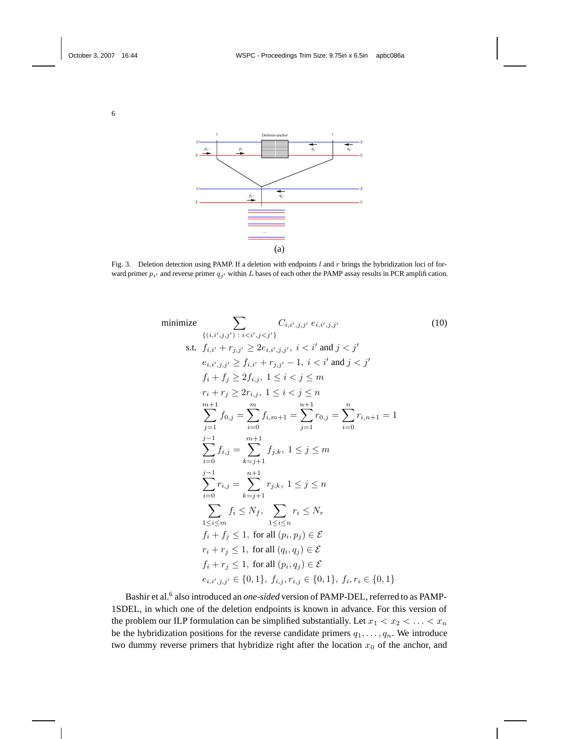

Fig. 3. Deletion detection using PAMP. If a deletion with endpoints  $l$  and  $r$  brings the hybridization loci of forward primer  $p_{i'}$  and reverse primer  $q_{j'}$  within L bases of each other the PAMP assay results in PCR amplification.



Bashir et al.<sup>6</sup> also introduced an *one-sided* version of PAMP-DEL, referred to as PAMP-1SDEL, in which one of the deletion endpoints is known in advance. For this version of the problem our ILP formulation can be simplified substantially. Let  $x_1 < x_2 < \ldots < x_n$ be the hybridization positions for the reverse candidate primers  $q_1, \ldots, q_n$ . We introduce two dummy reverse primers that hybridize right after the location  $x_0$  of the anchor, and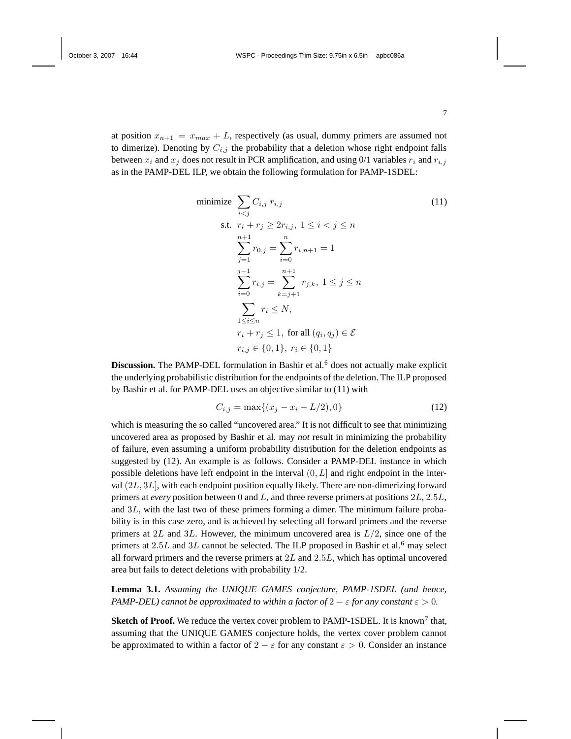at position  $x_{n+1} = x_{max} + L$ , respectively (as usual, dummy primers are assumed not to dimerize). Denoting by  $C_{i,j}$  the probability that a deletion whose right endpoint falls between  $x_i$  and  $x_j$  does not result in PCR amplification, and using 0/1 variables  $r_i$  and  $r_{i,j}$ as in the PAMP-DEL ILP, we obtain the following formulation for PAMP-1SDEL:

minimize 
$$
\sum_{i < j} C_{i,j} r_{i,j} \tag{11}
$$
\n
$$
\text{s.t. } r_i + r_j \ge 2r_{i,j}, \ 1 \le i < j \le n
$$
\n
$$
\sum_{j=1}^{n+1} r_{0,j} = \sum_{i=0}^{n} r_{i,n+1} = 1
$$
\n
$$
\sum_{i=0}^{j-1} r_{i,j} = \sum_{k=j+1}^{n+1} r_{j,k}, \ 1 \le j \le n
$$
\n
$$
\sum_{1 \le i \le n} r_i \le N,
$$
\n
$$
r_i + r_j \le 1, \text{ for all } (q_i, q_j) \in \mathcal{E}
$$
\n
$$
r_{i,j} \in \{0, 1\}, \ r_i \in \{0, 1\}
$$

**Discussion.** The PAMP-DEL formulation in Bashir et al.<sup>6</sup> does not actually make explicit the underlying probabilistic distribution for the endpoints of the deletion. The ILP proposed by Bashir et al. for PAMP-DEL uses an objective similar to (11) with

$$
C_{i,j} = \max\{(x_j - x_i - L/2), 0\}
$$
 (12)

which is measuring the so called "uncovered area." It is not difficult to see that minimizing uncovered area as proposed by Bashir et al. may *not* result in minimizing the probability of failure, even assuming a uniform probability distribution for the deletion endpoints as suggested by (12). An example is as follows. Consider a PAMP-DEL instance in which possible deletions have left endpoint in the interval  $(0, L]$  and right endpoint in the interval (2L, 3L], with each endpoint position equally likely. There are non-dimerizing forward primers at *every* position between 0 and L, and three reverse primers at positions 2L, 2.5L, and 3L, with the last two of these primers forming a dimer. The minimum failure probability is in this case zero, and is achieved by selecting all forward primers and the reverse primers at 2L and 3L. However, the minimum uncovered area is  $L/2$ , since one of the primers at  $2.5L$  and  $3L$  cannot be selected. The ILP proposed in Bashir et al.<sup>6</sup> may select all forward primers and the reverse primers at  $2L$  and  $2.5L$ , which has optimal uncovered area but fails to detect deletions with probability 1/2.

**Lemma 3.1.** *Assuming the UNIQUE GAMES conjecture, PAMP-1SDEL (and hence, PAMP-DEL) cannot be approximated to within a factor of*  $2 - \varepsilon$  *for any constant*  $\varepsilon > 0$ *.* 

**Sketch of Proof.** We reduce the vertex cover problem to PAMP-1SDEL. It is known<sup>7</sup> that, assuming that the UNIQUE GAMES conjecture holds, the vertex cover problem cannot be approximated to within a factor of  $2 - \varepsilon$  for any constant  $\varepsilon > 0$ . Consider an instance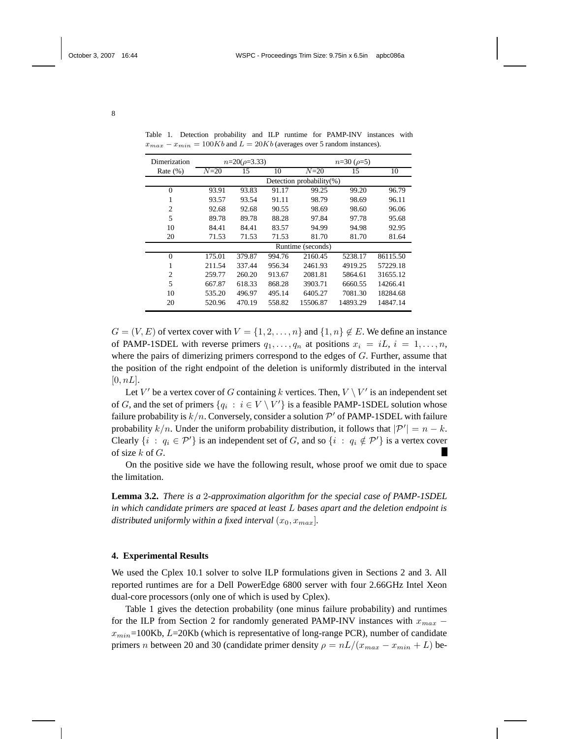| Dimerization   | $n=20(\rho=3.33)$        |        |        | $n=30 \; (\rho=5)$ |          |          |
|----------------|--------------------------|--------|--------|--------------------|----------|----------|
| Rate $(\%)$    | $N=20$                   | 15     | 10     | $N=20$             | 15       | 10       |
|                | Detection probability(%) |        |        |                    |          |          |
| $\theta$       | 93.91                    | 93.83  | 91.17  | 99.25              | 99.20    | 96.79    |
| 1              | 93.57                    | 93.54  | 91.11  | 98.79              | 98.69    | 96.11    |
| $\overline{c}$ | 92.68                    | 92.68  | 90.55  | 98.69              | 98.60    | 96.06    |
| 5              | 89.78                    | 89.78  | 88.28  | 97.84              | 97.78    | 95.68    |
| 10             | 84.41                    | 84.41  | 83.57  | 94.99              | 94.98    | 92.95    |
| 20             | 71.53                    | 71.53  | 71.53  | 81.70              | 81.70    | 81.64    |
|                | Runtime (seconds)        |        |        |                    |          |          |
| $\theta$       | 175.01                   | 379.87 | 994.76 | 2160.45            | 5238.17  | 86115.50 |
|                | 211.54                   | 337.44 | 956.34 | 2461.93            | 4919.25  | 57229.18 |
| $\overline{c}$ | 259.77                   | 260.20 | 913.67 | 2081.81            | 5864.61  | 31655.12 |
| 5              | 667.87                   | 618.33 | 868.28 | 3903.71            | 6660.55  | 14266.41 |
| 10             | 535.20                   | 496.97 | 495.14 | 6405.27            | 7081.30  | 18284.68 |
| 20             | 520.96                   | 470.19 | 558.82 | 15506.87           | 14893.29 | 14847.14 |

Table 1. Detection probability and ILP runtime for PAMP-INV instances with  $x_{max} - x_{min} = 100Kb$  and  $L = 20Kb$  (averages over 5 random instances).

 $G = (V, E)$  of vertex cover with  $V = \{1, 2, \ldots, n\}$  and  $\{1, n\} \notin E$ . We define an instance of PAMP-1SDEL with reverse primers  $q_1, \ldots, q_n$  at positions  $x_i = iL, i = 1, \ldots, n$ , where the pairs of dimerizing primers correspond to the edges of  $G$ . Further, assume that the position of the right endpoint of the deletion is uniformly distributed in the interval  $[0, nL]$ .

Let V' be a vertex cover of G containing k vertices. Then,  $V \setminus V'$  is an independent set of G, and the set of primers  $\{q_i : i \in V \setminus V'\}$  is a feasible PAMP-1SDEL solution whose failure probability is  $k/n$ . Conversely, consider a solution  $\mathcal{P}'$  of PAMP-1SDEL with failure probability  $k/n$ . Under the uniform probability distribution, it follows that  $|\mathcal{P}'| = n - k$ . Clearly  $\{i : q_i \in \mathcal{P}'\}$  is an independent set of G, and so  $\{i : q_i \notin \mathcal{P}'\}$  is a vertex cover of size  $k$  of  $G$ .

On the positive side we have the following result, whose proof we omit due to space the limitation.

**Lemma 3.2.** *There is a* 2*-approximation algorithm for the special case of PAMP-1SDEL in which candidate primers are spaced at least* L *bases apart and the deletion endpoint is distributed uniformly within a fixed interval*  $(x_0, x_{max})$ *.* 

### **4. Experimental Results**

We used the Cplex 10.1 solver to solve ILP formulations given in Sections 2 and 3. All reported runtimes are for a Dell PowerEdge 6800 server with four 2.66GHz Intel Xeon dual-core processors (only one of which is used by Cplex).

Table 1 gives the detection probability (one minus failure probability) and runtimes for the ILP from Section 2 for randomly generated PAMP-INV instances with  $x_{max}$  –  $x_{min}$ =100Kb,  $L$ =20Kb (which is representative of long-range PCR), number of candidate primers n between 20 and 30 (candidate primer density  $\rho = nL/(x_{max} - x_{min} + L)$  be-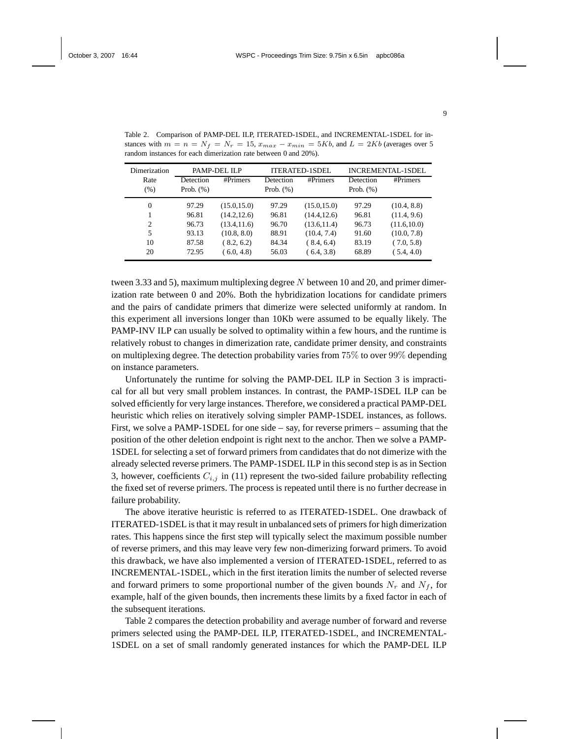| Dimerization | PAMP-DEL ILP |              | ITERATED-1SDEL |              | INCREMENTAL-1SDEL |              |
|--------------|--------------|--------------|----------------|--------------|-------------------|--------------|
| Rate         | Detection    | #Primers     | Detection      | #Primers     | Detection         | #Primers     |
| (% )         | Prob. $(\%)$ |              | Prob. $(\%)$   |              | Prob. $(\%)$      |              |
| $\Omega$     | 97.29        | (15.0, 15.0) | 97.29          | (15.0, 15.0) | 97.29             | (10.4, 8.8)  |
|              | 96.81        | (14.2, 12.6) | 96.81          | (14.4, 12.6) | 96.81             | (11.4, 9.6)  |
| 2            | 96.73        | (13.4, 11.6) | 96.70          | (13.6, 11.4) | 96.73             | (11.6, 10.0) |
| 5            | 93.13        | (10.8, 8.0)  | 88.91          | (10.4, 7.4)  | 91.60             | (10.0, 7.8)  |
| 10           | 87.58        | (8.2, 6.2)   | 84.34          | (8.4, 6.4)   | 83.19             | (7.0, 5.8)   |
| 20           | 72.95        | (6.0, 4.8)   | 56.03          | (6.4, 3.8)   | 68.89             | (5.4, 4.0)   |

Table 2. Comparison of PAMP-DEL ILP, ITERATED-1SDEL, and INCREMENTAL-1SDEL for instances with  $m = n = N_f = N_r = 15$ ,  $x_{max} - x_{min} = 5Kb$ , and  $L = 2Kb$  (averages over 5) random instances for each dimerization rate between 0 and 20%).

tween 3.33 and 5), maximum multiplexing degree N between 10 and 20, and primer dimerization rate between 0 and 20%. Both the hybridization locations for candidate primers and the pairs of candidate primers that dimerize were selected uniformly at random. In this experiment all inversions longer than 10Kb were assumed to be equally likely. The PAMP-INV ILP can usually be solved to optimality within a few hours, and the runtime is relatively robust to changes in dimerization rate, candidate primer density, and constraints on multiplexing degree. The detection probability varies from 75% to over 99% depending on instance parameters.

Unfortunately the runtime for solving the PAMP-DEL ILP in Section 3 is impractical for all but very small problem instances. In contrast, the PAMP-1SDEL ILP can be solved efficiently for very large instances. Therefore, we considered a practical PAMP-DEL heuristic which relies on iteratively solving simpler PAMP-1SDEL instances, as follows. First, we solve a PAMP-1SDEL for one side – say, for reverse primers – assuming that the position of the other deletion endpoint is right next to the anchor. Then we solve a PAMP-1SDEL for selecting a set of forward primers from candidates that do not dimerize with the already selected reverse primers. The PAMP-1SDEL ILP in this second step is as in Section 3, however, coefficients  $C_{i,j}$  in (11) represent the two-sided failure probability reflecting the fixed set of reverse primers. The process is repeated until there is no further decrease in failure probability.

The above iterative heuristic is referred to as ITERATED-1SDEL. One drawback of ITERATED-1SDEL is that it may result in unbalanced sets of primersfor high dimerization rates. This happens since the first step will typically select the maximum possible number of reverse primers, and this may leave very few non-dimerizing forward primers. To avoid this drawback, we have also implemented a version of ITERATED-1SDEL, referred to as INCREMENTAL-1SDEL, which in the first iteration limits the number of selected reverse and forward primers to some proportional number of the given bounds  $N_r$  and  $N_f$ , for example, half of the given bounds, then increments these limits by a fixed factor in each of the subsequent iterations.

Table 2 compares the detection probability and average number of forward and reverse primers selected using the PAMP-DEL ILP, ITERATED-1SDEL, and INCREMENTAL-1SDEL on a set of small randomly generated instances for which the PAMP-DEL ILP